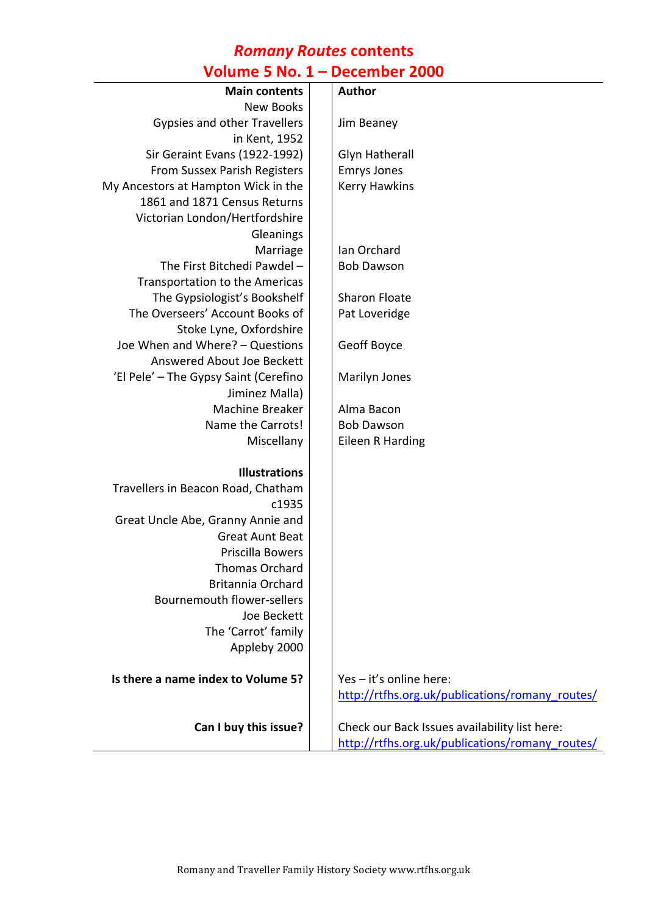### *Romany Routes* **contents Volume 5 No. 1 – December 2000**

| <b>Main contents</b>                  | <b>Author</b>                                   |
|---------------------------------------|-------------------------------------------------|
| <b>New Books</b>                      |                                                 |
| <b>Gypsies and other Travellers</b>   | Jim Beaney                                      |
| in Kent, 1952                         |                                                 |
| Sir Geraint Evans (1922-1992)         | <b>Glyn Hatherall</b>                           |
| From Sussex Parish Registers          | <b>Emrys Jones</b>                              |
| My Ancestors at Hampton Wick in the   | <b>Kerry Hawkins</b>                            |
| 1861 and 1871 Census Returns          |                                                 |
| Victorian London/Hertfordshire        |                                                 |
| Gleanings                             |                                                 |
| Marriage                              | Ian Orchard                                     |
| The First Bitchedi Pawdel -           | <b>Bob Dawson</b>                               |
| Transportation to the Americas        |                                                 |
| The Gypsiologist's Bookshelf          | <b>Sharon Floate</b>                            |
| The Overseers' Account Books of       | Pat Loveridge                                   |
| Stoke Lyne, Oxfordshire               |                                                 |
| Joe When and Where? - Questions       | Geoff Boyce                                     |
| Answered About Joe Beckett            |                                                 |
| 'El Pele' - The Gypsy Saint (Cerefino | Marilyn Jones                                   |
| Jiminez Malla)                        |                                                 |
| <b>Machine Breaker</b>                | Alma Bacon                                      |
| Name the Carrots!                     | <b>Bob Dawson</b>                               |
| Miscellany                            | Eileen R Harding                                |
|                                       |                                                 |
| <b>Illustrations</b>                  |                                                 |
| Travellers in Beacon Road, Chatham    |                                                 |
| c1935                                 |                                                 |
| Great Uncle Abe, Granny Annie and     |                                                 |
| <b>Great Aunt Beat</b>                |                                                 |
| Priscilla Bowers                      |                                                 |
| <b>Thomas Orchard</b>                 |                                                 |
| Britannia Orchard                     |                                                 |
| <b>Bournemouth flower-sellers</b>     |                                                 |
| Joe Beckett                           |                                                 |
| The 'Carrot' family                   |                                                 |
| Appleby 2000                          |                                                 |
| Is there a name index to Volume 5?    | Yes - it's online here:                         |
|                                       | http://rtfhs.org.uk/publications/romany_routes/ |
|                                       |                                                 |
| Can I buy this issue?                 | Check our Back Issues availability list here:   |
|                                       | http://rtfhs.org.uk/publications/romany_routes/ |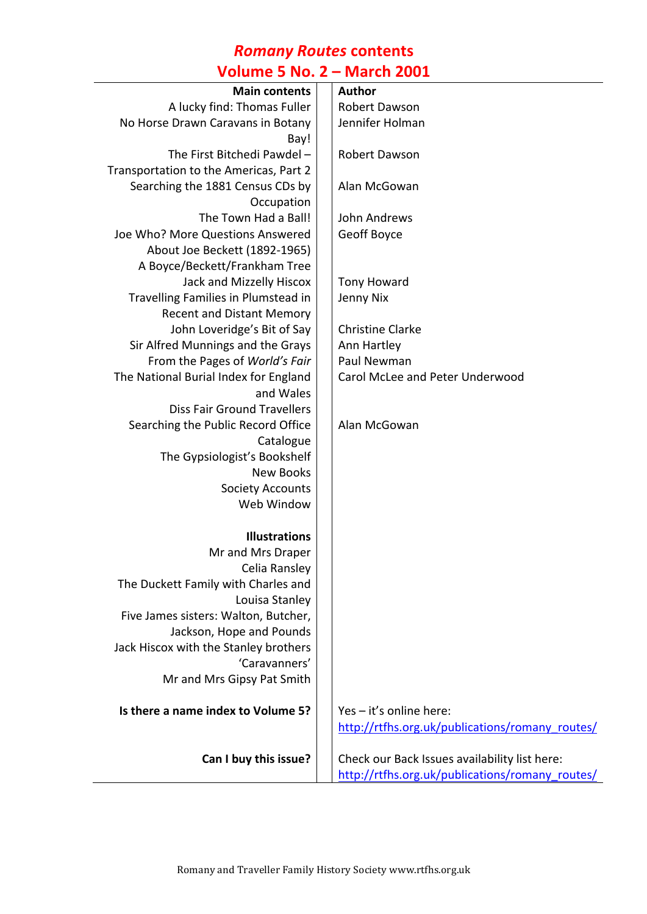# *Romany Routes* **contents**

### **Volume 5 No. 2 – March 2001**

| <b>Main contents</b>                   | <b>Author</b>                                   |
|----------------------------------------|-------------------------------------------------|
| A lucky find: Thomas Fuller            | Robert Dawson                                   |
| No Horse Drawn Caravans in Botany      | Jennifer Holman                                 |
| Bay!                                   |                                                 |
| The First Bitchedi Pawdel -            | Robert Dawson                                   |
| Transportation to the Americas, Part 2 |                                                 |
| Searching the 1881 Census CDs by       | Alan McGowan                                    |
| Occupation                             |                                                 |
| The Town Had a Ball!                   | John Andrews                                    |
| Joe Who? More Questions Answered       | Geoff Boyce                                     |
| About Joe Beckett (1892-1965)          |                                                 |
| A Boyce/Beckett/Frankham Tree          |                                                 |
| Jack and Mizzelly Hiscox               | <b>Tony Howard</b>                              |
| Travelling Families in Plumstead in    | Jenny Nix                                       |
| <b>Recent and Distant Memory</b>       |                                                 |
| John Loveridge's Bit of Say            | <b>Christine Clarke</b>                         |
| Sir Alfred Munnings and the Grays      | Ann Hartley                                     |
| From the Pages of World's Fair         | Paul Newman                                     |
| The National Burial Index for England  | Carol McLee and Peter Underwood                 |
| and Wales                              |                                                 |
| <b>Diss Fair Ground Travellers</b>     |                                                 |
| Searching the Public Record Office     | Alan McGowan                                    |
| Catalogue                              |                                                 |
| The Gypsiologist's Bookshelf           |                                                 |
| <b>New Books</b>                       |                                                 |
| <b>Society Accounts</b>                |                                                 |
| Web Window                             |                                                 |
|                                        |                                                 |
| <b>Illustrations</b>                   |                                                 |
| Mr and Mrs Draper                      |                                                 |
| Celia Ransley                          |                                                 |
| The Duckett Family with Charles and    |                                                 |
| Louisa Stanley                         |                                                 |
| Five James sisters: Walton, Butcher,   |                                                 |
| Jackson, Hope and Pounds               |                                                 |
| Jack Hiscox with the Stanley brothers  |                                                 |
| 'Caravanners'                          |                                                 |
| Mr and Mrs Gipsy Pat Smith             |                                                 |
| Is there a name index to Volume 5?     | Yes - it's online here:                         |
|                                        | http://rtfhs.org.uk/publications/romany_routes/ |
|                                        |                                                 |
| Can I buy this issue?                  | Check our Back Issues availability list here:   |
|                                        | http://rtfhs.org.uk/publications/romany_routes/ |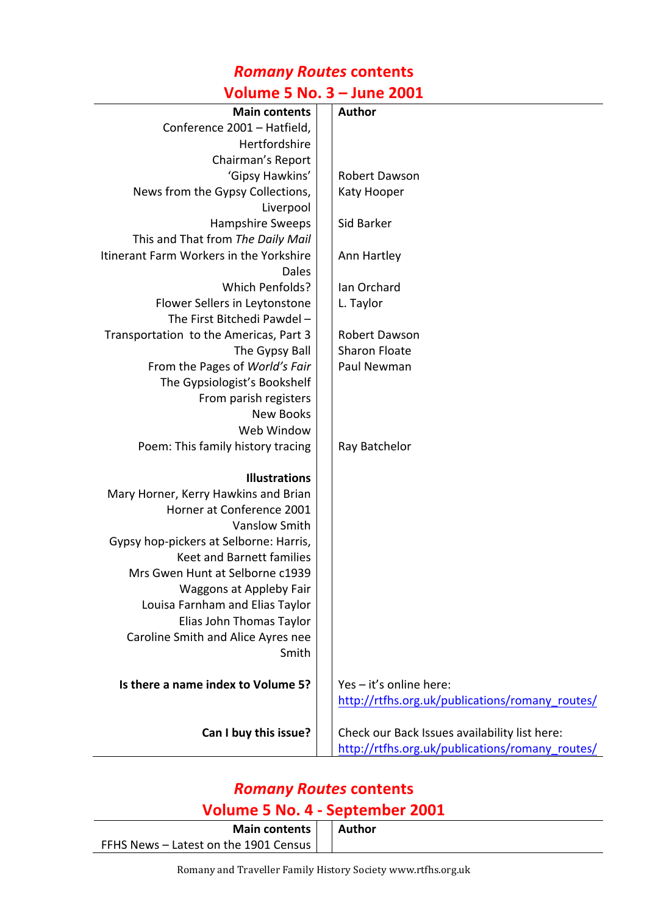## *Romany Routes* **contents**

### **Volume 5 No. 3 – June 2001**

| <b>Main contents</b>                    | <b>Author</b>                                   |
|-----------------------------------------|-------------------------------------------------|
| Conference 2001 - Hatfield,             |                                                 |
| Hertfordshire                           |                                                 |
| Chairman's Report                       |                                                 |
| 'Gipsy Hawkins'                         | <b>Robert Dawson</b>                            |
| News from the Gypsy Collections,        | Katy Hooper                                     |
| Liverpool                               |                                                 |
| <b>Hampshire Sweeps</b>                 | Sid Barker                                      |
| This and That from The Daily Mail       |                                                 |
| Itinerant Farm Workers in the Yorkshire | Ann Hartley                                     |
| <b>Dales</b>                            |                                                 |
| <b>Which Penfolds?</b>                  | Ian Orchard                                     |
| Flower Sellers in Leytonstone           | L. Taylor                                       |
| The First Bitchedi Pawdel -             |                                                 |
| Transportation to the Americas, Part 3  | Robert Dawson                                   |
| The Gypsy Ball                          | <b>Sharon Floate</b>                            |
| From the Pages of World's Fair          | Paul Newman                                     |
| The Gypsiologist's Bookshelf            |                                                 |
| From parish registers                   |                                                 |
| <b>New Books</b>                        |                                                 |
| Web Window                              |                                                 |
| Poem: This family history tracing       | Ray Batchelor                                   |
| <b>Illustrations</b>                    |                                                 |
| Mary Horner, Kerry Hawkins and Brian    |                                                 |
| Horner at Conference 2001               |                                                 |
| Vanslow Smith                           |                                                 |
| Gypsy hop-pickers at Selborne: Harris,  |                                                 |
| <b>Keet and Barnett families</b>        |                                                 |
| Mrs Gwen Hunt at Selborne c1939         |                                                 |
| Waggons at Appleby Fair                 |                                                 |
| Louisa Farnham and Elias Taylor         |                                                 |
| Elias John Thomas Taylor                |                                                 |
| Caroline Smith and Alice Ayres nee      |                                                 |
| Smith                                   |                                                 |
| Is there a name index to Volume 5?      | Yes - it's online here:                         |
|                                         | http://rtfhs.org.uk/publications/romany_routes/ |
| Can I buy this issue?                   | Check our Back Issues availability list here:   |
|                                         | http://rtfhs.org.uk/publications/romany_routes/ |
|                                         |                                                 |

#### *Romany Routes* **contents Volume 5 No. 4 - September 2001**

| -------------------------------------- |  |        |  |
|----------------------------------------|--|--------|--|
| Main contents                          |  | Author |  |
| FFHS News - Latest on the 1901 Census  |  |        |  |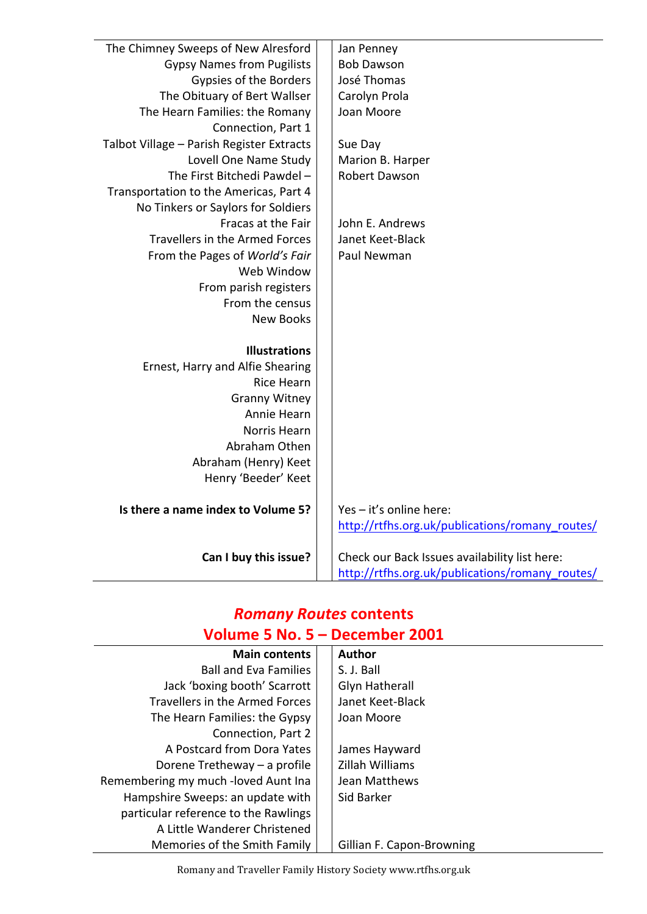| The Chimney Sweeps of New Alresford       | Jan Penney                                      |
|-------------------------------------------|-------------------------------------------------|
| <b>Gypsy Names from Pugilists</b>         | <b>Bob Dawson</b>                               |
| Gypsies of the Borders                    | José Thomas                                     |
| The Obituary of Bert Wallser              | Carolyn Prola                                   |
| The Hearn Families: the Romany            | Joan Moore                                      |
| Connection, Part 1                        |                                                 |
| Talbot Village - Parish Register Extracts | Sue Day                                         |
| Lovell One Name Study                     | Marion B. Harper                                |
| The First Bitchedi Pawdel -               | Robert Dawson                                   |
| Transportation to the Americas, Part 4    |                                                 |
| No Tinkers or Saylors for Soldiers        |                                                 |
| Fracas at the Fair                        | John E. Andrews                                 |
| Travellers in the Armed Forces            | Janet Keet-Black                                |
| From the Pages of World's Fair            | Paul Newman                                     |
| Web Window                                |                                                 |
| From parish registers                     |                                                 |
| From the census                           |                                                 |
| <b>New Books</b>                          |                                                 |
| <b>Illustrations</b>                      |                                                 |
| Ernest, Harry and Alfie Shearing          |                                                 |
| <b>Rice Hearn</b>                         |                                                 |
| <b>Granny Witney</b>                      |                                                 |
| Annie Hearn                               |                                                 |
| Norris Hearn                              |                                                 |
| Abraham Othen                             |                                                 |
| Abraham (Henry) Keet                      |                                                 |
| Henry 'Beeder' Keet                       |                                                 |
|                                           |                                                 |
| Is there a name index to Volume 5?        | Yes - it's online here:                         |
|                                           | http://rtfhs.org.uk/publications/romany_routes/ |
| Can I buy this issue?                     | Check our Back Issues availability list here:   |
|                                           | http://rtfhs.org.uk/publications/romany_routes/ |

### *Romany Routes* **contents Volume 5 No. 5 - December 2001**

| <b>Main contents</b>                 | <b>Author</b>             |  |
|--------------------------------------|---------------------------|--|
| <b>Ball and Eva Families</b>         | S. J. Ball                |  |
| Jack 'boxing booth' Scarrott         | <b>Glyn Hatherall</b>     |  |
| Travellers in the Armed Forces       | Janet Keet-Black          |  |
| The Hearn Families: the Gypsy        | Joan Moore                |  |
| Connection, Part 2                   |                           |  |
| A Postcard from Dora Yates           | James Hayward             |  |
| Dorene Tretheway – a profile         | Zillah Williams           |  |
| Remembering my much -loved Aunt Ina  | Jean Matthews             |  |
| Hampshire Sweeps: an update with     | Sid Barker                |  |
| particular reference to the Rawlings |                           |  |
| A Little Wanderer Christened         |                           |  |
| Memories of the Smith Family         | Gillian F. Capon-Browning |  |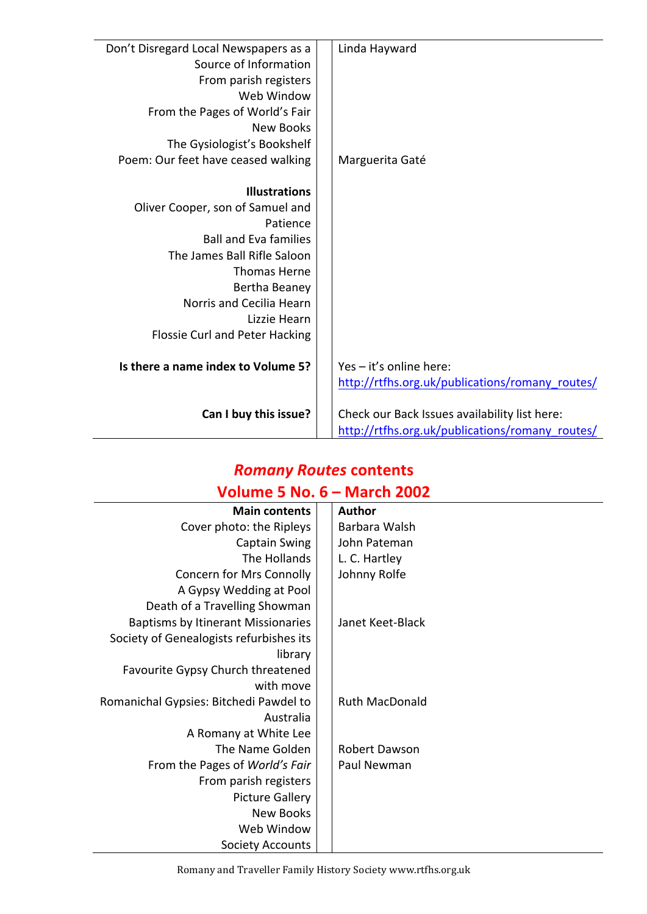| Don't Disregard Local Newspapers as a | Linda Hayward                                   |
|---------------------------------------|-------------------------------------------------|
| Source of Information                 |                                                 |
| From parish registers                 |                                                 |
| Web Window                            |                                                 |
| From the Pages of World's Fair        |                                                 |
| <b>New Books</b>                      |                                                 |
| The Gysiologist's Bookshelf           |                                                 |
| Poem: Our feet have ceased walking    | Marguerita Gaté                                 |
|                                       |                                                 |
| <b>Illustrations</b>                  |                                                 |
| Oliver Cooper, son of Samuel and      |                                                 |
| Patience                              |                                                 |
| <b>Ball and Eva families</b>          |                                                 |
| The James Ball Rifle Saloon           |                                                 |
| <b>Thomas Herne</b>                   |                                                 |
| Bertha Beaney                         |                                                 |
| Norris and Cecilia Hearn              |                                                 |
| Lizzie Hearn                          |                                                 |
| Flossie Curl and Peter Hacking        |                                                 |
|                                       |                                                 |
| Is there a name index to Volume 5?    | Yes - it's online here:                         |
|                                       | http://rtfhs.org.uk/publications/romany_routes/ |
|                                       |                                                 |
| Can I buy this issue?                 | Check our Back Issues availability list here:   |
|                                       | http://rtfhs.org.uk/publications/romany_routes/ |
|                                       |                                                 |

#### *Romany Routes* **contents Volume 5 No. 6 – March 2002**

| <b>Main contents</b>                      | <b>Author</b>         |
|-------------------------------------------|-----------------------|
| Cover photo: the Ripleys                  | Barbara Walsh         |
| Captain Swing                             | John Pateman          |
| The Hollands                              | L. C. Hartley         |
| Concern for Mrs Connolly                  | Johnny Rolfe          |
| A Gypsy Wedding at Pool                   |                       |
| Death of a Travelling Showman             |                       |
| <b>Baptisms by Itinerant Missionaries</b> | Janet Keet-Black      |
| Society of Genealogists refurbishes its   |                       |
| library                                   |                       |
| Favourite Gypsy Church threatened         |                       |
| with move                                 |                       |
| Romanichal Gypsies: Bitchedi Pawdel to    | <b>Ruth MacDonald</b> |
| Australia                                 |                       |
| A Romany at White Lee                     |                       |
| The Name Golden                           | Robert Dawson         |
| From the Pages of World's Fair            | Paul Newman           |
| From parish registers                     |                       |
| <b>Picture Gallery</b>                    |                       |
| New Books                                 |                       |
| Web Window                                |                       |
| <b>Society Accounts</b>                   |                       |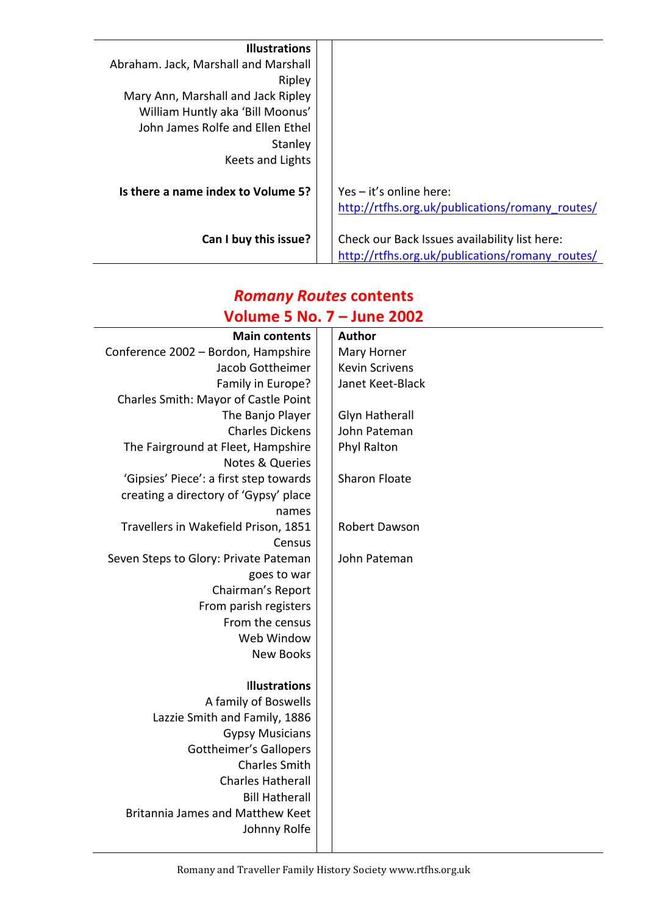| <b>Illustrations</b>                 |                                                 |
|--------------------------------------|-------------------------------------------------|
| Abraham. Jack, Marshall and Marshall |                                                 |
| Ripley                               |                                                 |
| Mary Ann, Marshall and Jack Ripley   |                                                 |
| William Huntly aka 'Bill Moonus'     |                                                 |
| John James Rolfe and Ellen Ethel     |                                                 |
| Stanley                              |                                                 |
| Keets and Lights                     |                                                 |
|                                      |                                                 |
| Is there a name index to Volume 5?   | Yes $-$ it's online here:                       |
|                                      | http://rtfhs.org.uk/publications/romany routes/ |
|                                      |                                                 |
| Can I buy this issue?                | Check our Back Issues availability list here:   |
|                                      | http://rtfhs.org.uk/publications/romany routes/ |

## *Romany Routes* **contents Volume 5 No. 7 – June 2002**

| <b>Main contents</b>                   | <b>Author</b>         |
|----------------------------------------|-----------------------|
| Conference 2002 - Bordon, Hampshire    | Mary Horner           |
| Jacob Gottheimer                       | <b>Kevin Scrivens</b> |
| Family in Europe?                      | Janet Keet-Black      |
| Charles Smith: Mayor of Castle Point   |                       |
| The Banjo Player                       | <b>Glyn Hatherall</b> |
| <b>Charles Dickens</b>                 | John Pateman          |
| The Fairground at Fleet, Hampshire     | Phyl Ralton           |
| <b>Notes &amp; Queries</b>             |                       |
| 'Gipsies' Piece': a first step towards | <b>Sharon Floate</b>  |
| creating a directory of 'Gypsy' place  |                       |
| names                                  |                       |
| Travellers in Wakefield Prison, 1851   | Robert Dawson         |
| Census                                 |                       |
| Seven Steps to Glory: Private Pateman  | John Pateman          |
| goes to war                            |                       |
| Chairman's Report                      |                       |
| From parish registers                  |                       |
| From the census                        |                       |
| Web Window                             |                       |
| <b>New Books</b>                       |                       |
|                                        |                       |
| <b>Illustrations</b>                   |                       |
| A family of Boswells                   |                       |
| Lazzie Smith and Family, 1886          |                       |
| <b>Gypsy Musicians</b>                 |                       |
| <b>Gottheimer's Gallopers</b>          |                       |
| <b>Charles Smith</b>                   |                       |
| <b>Charles Hatherall</b>               |                       |
| <b>Bill Hatherall</b>                  |                       |
| Britannia James and Matthew Keet       |                       |
| Johnny Rolfe                           |                       |
|                                        |                       |